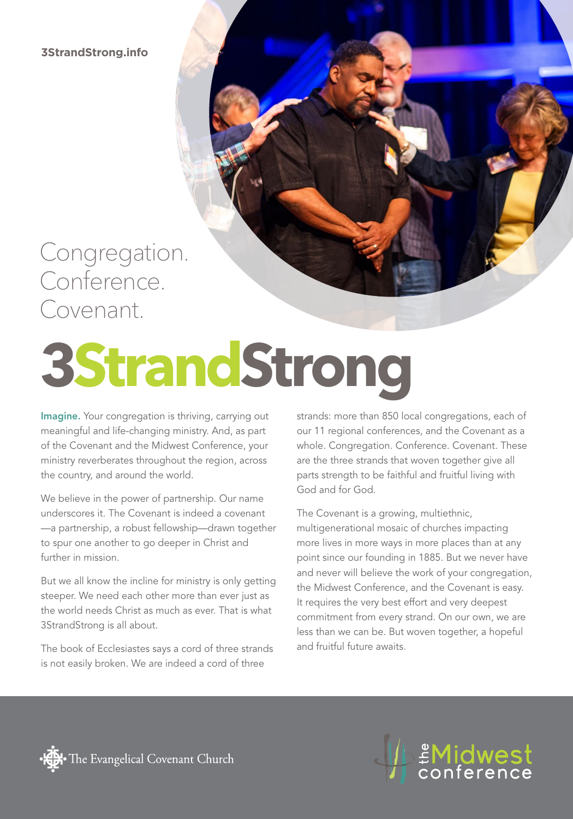**3StrandStrong.info**

### Congregation. Conference. Covenant.

# **3StrandStrong**

Imagine. Your congregation is thriving, carrying out meaningful and life-changing ministry. And, as part of the Covenant and the Midwest Conference, your ministry reverberates throughout the region, across the country, and around the world.

We believe in the power of partnership. Our name underscores it. The Covenant is indeed a covenant —a partnership, a robust fellowship—drawn together to spur one another to go deeper in Christ and further in mission.

But we all know the incline for ministry is only getting steeper. We need each other more than ever just as the world needs Christ as much as ever. That is what 3StrandStrong is all about.

The book of Ecclesiastes says a cord of three strands is not easily broken. We are indeed a cord of three

strands: more than 850 local congregations, each of our 11 regional conferences, and the Covenant as a whole. Congregation. Conference. Covenant. These are the three strands that woven together give all parts strength to be faithful and fruitful living with God and for God.

The Covenant is a growing, multiethnic, multigenerational mosaic of churches impacting more lives in more ways in more places than at any point since our founding in 1885. But we never have and never will believe the work of your congregation, the Midwest Conference, and the Covenant is easy. It requires the very best effort and very deepest commitment from every strand. On our own, we are less than we can be. But woven together, a hopeful and fruitful future awaits.



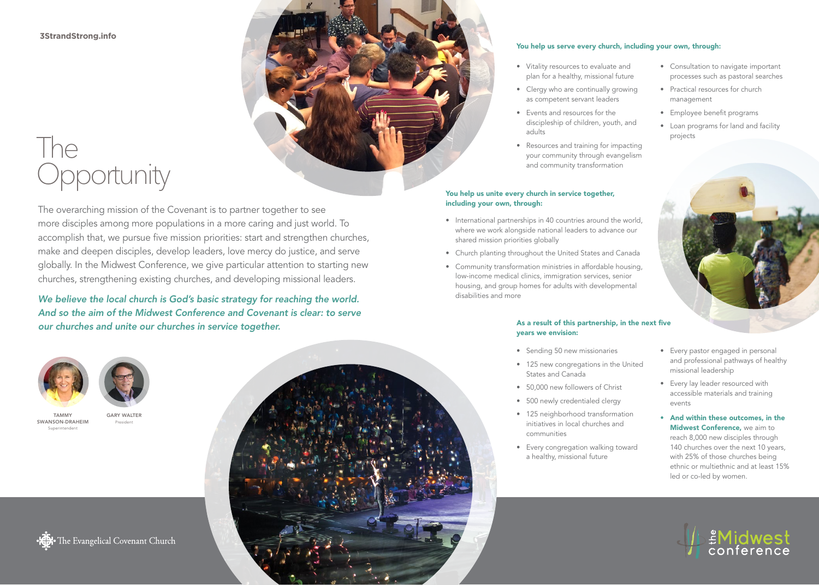#### **3StrandStrong.info**

## The **Opportunity**

The overarching mission of the Covenant is to partner together to see more disciples among more populations in a more caring and just world. To accomplish that, we pursue five mission priorities: start and strengthen churches, make and deepen disciples, develop leaders, love mercy do justice, and serve globally. In the Midwest Conference, we give particular attention to starting new churches, strengthening existing churches, and developing missional leaders.

*We believe the local church is God's basic strategy for reaching the world. And so the aim of the Midwest Conference and Covenant is clear: to serve our churches and unite our churches in service together.*







TAMMY SWANSON-DRAHEIM Superintendent



President





#### You help us serve every church, including your own, through:

- Vitality resources to evaluate and plan for a healthy, missional future
- Clergy who are continually growing as competent servant leaders
- Events and resources for the discipleship of children, youth, and adults
- Resources and training for impacting your community through evangelism and community transformation

#### You help us unite every church in service together, including your own, through:

- International partnerships in 40 countries around the world, where we work alongside national leaders to advance our shared mission priorities globally
- Church planting throughout the United States and Canada
- Community transformation ministries in affordable housing, low-income medical clinics, immigration services, senior housing, and group homes for adults with developmental disabilities and more

#### As a result of this partnership, in the next five years we envision:

- Sending 50 new missionaries
- 125 new congregations in the United States and Canada
- 50,000 new followers of Christ • 500 newly credentialed clergy
- 125 neighborhood transformation initiatives in local churches and communities
- Every congregation walking toward a healthy, missional future
- Consultation to navigate important processes such as pastoral searches
- Practical resources for church management
- Employee benefit programs
- Loan programs for land and facility projects



- Every pastor engaged in personal and professional pathways of healthy missional leadership
- Every lay leader resourced with accessible materials and training events
- And within these outcomes, in the Midwest Conference, we aim to reach 8,000 new disciples through 140 churches over the next 10 years, with 25% of those churches being ethnic or multiethnic and at least 15% led or co-led by women.